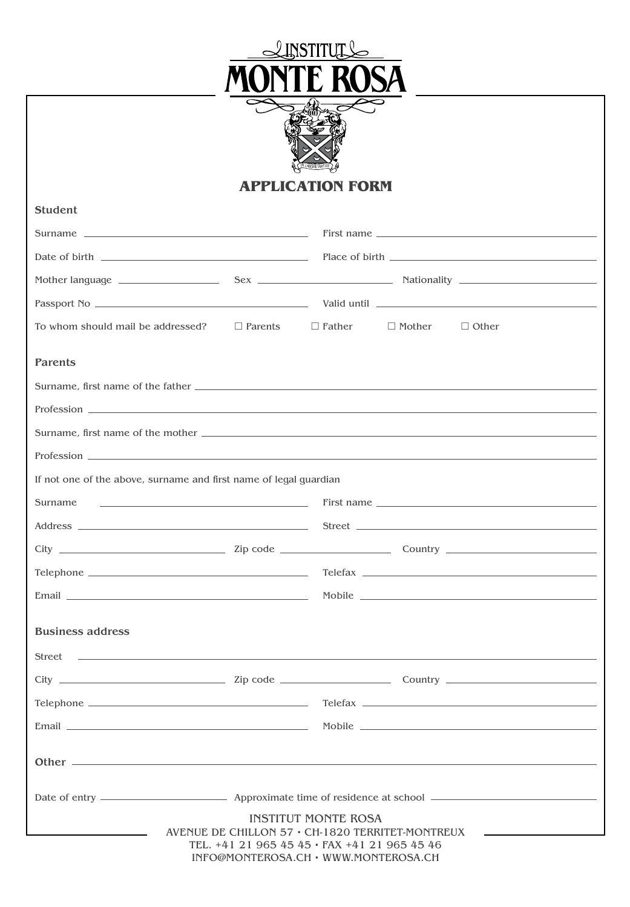



## **APPLICATION FORM**

| <b>Student</b>                                                                                                                                                                                                                 |                                                                                      |                            |               |              |  |  |
|--------------------------------------------------------------------------------------------------------------------------------------------------------------------------------------------------------------------------------|--------------------------------------------------------------------------------------|----------------------------|---------------|--------------|--|--|
|                                                                                                                                                                                                                                |                                                                                      |                            |               |              |  |  |
|                                                                                                                                                                                                                                |                                                                                      |                            |               |              |  |  |
|                                                                                                                                                                                                                                |                                                                                      |                            |               |              |  |  |
|                                                                                                                                                                                                                                |                                                                                      |                            |               |              |  |  |
| To whom should mail be addressed? $\Box$ Parents                                                                                                                                                                               |                                                                                      | $\Box$ Father              | $\Box$ Mother | $\Box$ Other |  |  |
| Parents                                                                                                                                                                                                                        |                                                                                      |                            |               |              |  |  |
|                                                                                                                                                                                                                                |                                                                                      |                            |               |              |  |  |
|                                                                                                                                                                                                                                |                                                                                      |                            |               |              |  |  |
|                                                                                                                                                                                                                                |                                                                                      |                            |               |              |  |  |
|                                                                                                                                                                                                                                |                                                                                      |                            |               |              |  |  |
| If not one of the above, surname and first name of legal guardian                                                                                                                                                              |                                                                                      |                            |               |              |  |  |
| <u>and the second control of the second control of the second control of the second control of</u><br>Surname                                                                                                                  |                                                                                      |                            |               | First name   |  |  |
|                                                                                                                                                                                                                                |                                                                                      |                            |               |              |  |  |
|                                                                                                                                                                                                                                |                                                                                      |                            |               |              |  |  |
|                                                                                                                                                                                                                                |                                                                                      |                            |               |              |  |  |
|                                                                                                                                                                                                                                |                                                                                      |                            |               |              |  |  |
| <b>Business address</b>                                                                                                                                                                                                        |                                                                                      |                            |               |              |  |  |
|                                                                                                                                                                                                                                |                                                                                      |                            |               |              |  |  |
|                                                                                                                                                                                                                                |                                                                                      |                            |               |              |  |  |
|                                                                                                                                                                                                                                |                                                                                      |                            |               |              |  |  |
| Email experience and the contract of the contract of the contract of the contract of the contract of the contract of the contract of the contract of the contract of the contract of the contract of the contract of the contr |                                                                                      |                            |               |              |  |  |
|                                                                                                                                                                                                                                |                                                                                      |                            |               |              |  |  |
|                                                                                                                                                                                                                                |                                                                                      |                            |               |              |  |  |
|                                                                                                                                                                                                                                | AVENUE DE CHILLON $57 \cdot$ CH-1820 TERRITET-MONTREUX                               | <b>INSTITUT MONTE ROSA</b> |               |              |  |  |
|                                                                                                                                                                                                                                | TEL. +41 21 965 45 45 · FAX +41 21 965 45 46<br>INFO@MONTEROSA.CH · WWW.MONTEROSA.CH |                            |               |              |  |  |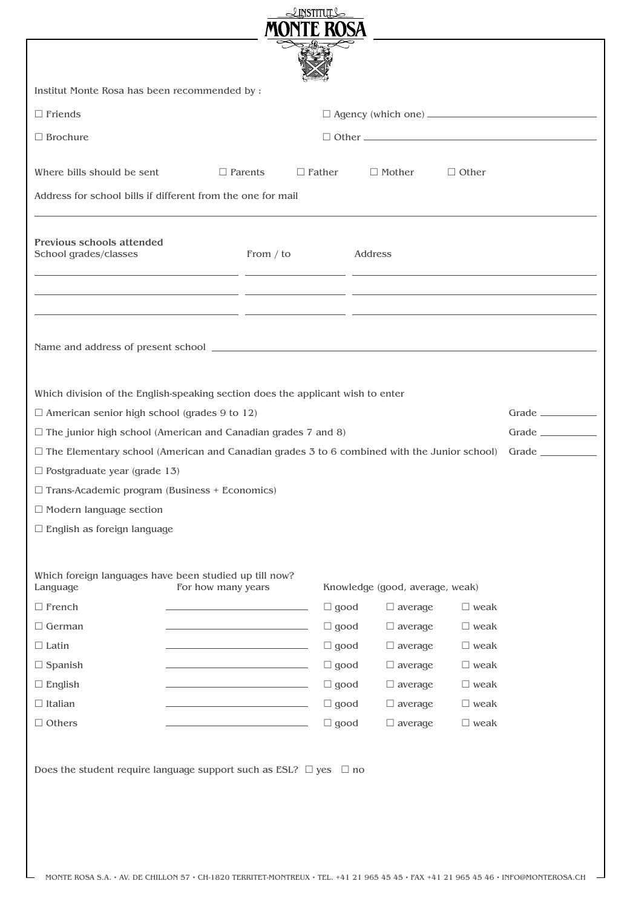| $\triangle$ INSTITUT $\triangle$                                                                                            |                                                             |                                                                                                                      |             |  |                |                |                                                            |
|-----------------------------------------------------------------------------------------------------------------------------|-------------------------------------------------------------|----------------------------------------------------------------------------------------------------------------------|-------------|--|----------------|----------------|------------------------------------------------------------|
|                                                                                                                             |                                                             |                                                                                                                      |             |  |                |                |                                                            |
|                                                                                                                             |                                                             |                                                                                                                      |             |  |                |                |                                                            |
|                                                                                                                             |                                                             |                                                                                                                      |             |  |                |                |                                                            |
| Institut Monte Rosa has been recommended by :                                                                               |                                                             |                                                                                                                      |             |  |                |                |                                                            |
| $\Box$ Friends                                                                                                              |                                                             |                                                                                                                      |             |  |                |                | □ Agency (which one) <u>______________________________</u> |
| $\Box$ Brochure                                                                                                             |                                                             |                                                                                                                      |             |  |                |                |                                                            |
|                                                                                                                             |                                                             |                                                                                                                      |             |  |                |                |                                                            |
| Where bills should be sent                                                                                                  |                                                             | $\Box$ Parents<br>$\Box$ Father                                                                                      |             |  | $\Box$ Mother  | $\Box$ Other   |                                                            |
| Address for school bills if different from the one for mail                                                                 |                                                             |                                                                                                                      |             |  |                |                |                                                            |
|                                                                                                                             |                                                             |                                                                                                                      |             |  |                |                |                                                            |
| Previous schools attended<br>School grades/classes<br>From / to                                                             |                                                             |                                                                                                                      | Address     |  |                |                |                                                            |
|                                                                                                                             |                                                             | <u> 1990 - Jan James James (h. 1980).</u><br>1900 - John Barnett, fransk kongenser (h. 1900).                        |             |  |                |                |                                                            |
|                                                                                                                             |                                                             | <u> 1990 - Antonio Alemania, poeta esperanto-se esperanto-se esperanto-se esperanto-se esperanto-se esperanto-se</u> |             |  |                |                |                                                            |
| <u> 1989 - Andrea Santa Andrea Andrea Andrea Andrea Andrea Andrea Andrea Andrea Andrea Andrea Andrea Andrea Andr</u>        |                                                             |                                                                                                                      |             |  |                |                |                                                            |
|                                                                                                                             |                                                             |                                                                                                                      |             |  |                |                |                                                            |
| Name and address of present school entrance and address of present school                                                   |                                                             |                                                                                                                      |             |  |                |                |                                                            |
|                                                                                                                             |                                                             |                                                                                                                      |             |  |                |                |                                                            |
| Which division of the English-speaking section does the applicant wish to enter                                             |                                                             |                                                                                                                      |             |  |                |                |                                                            |
| $\Box$ American senior high school (grades 9 to 12)                                                                         |                                                             |                                                                                                                      |             |  |                |                | Grade $\qquad$                                             |
| $\Box$ The junior high school (American and Canadian grades 7 and 8)                                                        |                                                             |                                                                                                                      |             |  |                |                | Grade $\_\_$                                               |
| $\Box$ The Elementary school (American and Canadian grades 3 to 6 combined with the Junior school)                          |                                                             |                                                                                                                      |             |  |                |                | Grade __________                                           |
| $\Box$ Postgraduate year (grade 13)                                                                                         |                                                             |                                                                                                                      |             |  |                |                |                                                            |
| $\Box$ Trans-Academic program (Business + Economics)                                                                        |                                                             |                                                                                                                      |             |  |                |                |                                                            |
| $\Box$ Modern language section                                                                                              |                                                             |                                                                                                                      |             |  |                |                |                                                            |
| $\Box$ English as foreign language                                                                                          |                                                             |                                                                                                                      |             |  |                |                |                                                            |
|                                                                                                                             |                                                             |                                                                                                                      |             |  |                |                |                                                            |
| Which foreign languages have been studied up till now?<br>For how many years<br>Language<br>Knowledge (good, average, weak) |                                                             |                                                                                                                      |             |  |                |                |                                                            |
| $\Box$ French                                                                                                               |                                                             |                                                                                                                      | $\Box$ good |  | $\Box$ average | $\square$ weak |                                                            |
| $\Box$ German                                                                                                               | the control of the control of the control of the            |                                                                                                                      | $\Box$ good |  | $\Box$ average | $\square$ weak |                                                            |
| $\Box$ Latin                                                                                                                |                                                             |                                                                                                                      | $\Box$ good |  | $\Box$ average | $\square$ weak |                                                            |
| $\Box$ Spanish                                                                                                              | the control of the control of the control of the control of |                                                                                                                      | $\Box$ good |  | $\Box$ average | $\square$ weak |                                                            |
| $\Box$ English                                                                                                              |                                                             |                                                                                                                      | $\Box$ good |  | $\Box$ average | $\square$ weak |                                                            |
| $\Box$ Italian                                                                                                              |                                                             |                                                                                                                      | $\Box$ good |  | $\Box$ average | $\square$ weak |                                                            |
| $\Box$ Others                                                                                                               |                                                             |                                                                                                                      | $\Box$ good |  | $\Box$ average | $\square$ weak |                                                            |
|                                                                                                                             |                                                             |                                                                                                                      |             |  |                |                |                                                            |
| Does the student require language support such as ESL? $\Box$ yes $\Box$ no                                                 |                                                             |                                                                                                                      |             |  |                |                |                                                            |
|                                                                                                                             |                                                             |                                                                                                                      |             |  |                |                |                                                            |
|                                                                                                                             |                                                             |                                                                                                                      |             |  |                |                |                                                            |
|                                                                                                                             |                                                             |                                                                                                                      |             |  |                |                |                                                            |
|                                                                                                                             |                                                             |                                                                                                                      |             |  |                |                |                                                            |
|                                                                                                                             |                                                             |                                                                                                                      |             |  |                |                |                                                            |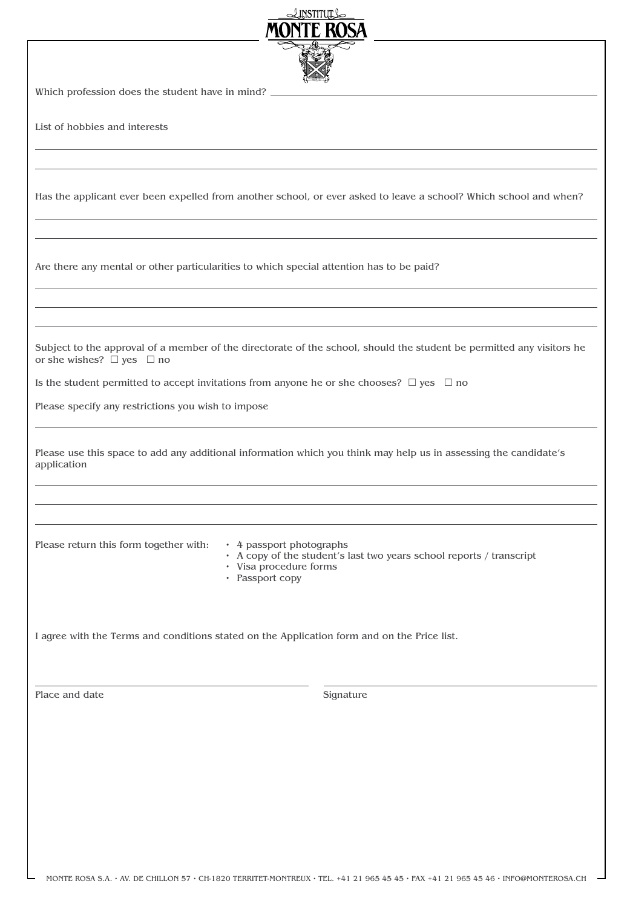| $\triangle$ LNSTITUL $\triangle$<br>ONTE ROSA                                                                                                                                           |  |  |  |  |  |  |
|-----------------------------------------------------------------------------------------------------------------------------------------------------------------------------------------|--|--|--|--|--|--|
|                                                                                                                                                                                         |  |  |  |  |  |  |
| Which profession does the student have in mind?                                                                                                                                         |  |  |  |  |  |  |
| List of hobbies and interests                                                                                                                                                           |  |  |  |  |  |  |
|                                                                                                                                                                                         |  |  |  |  |  |  |
| Has the applicant ever been expelled from another school, or ever asked to leave a school? Which school and when?                                                                       |  |  |  |  |  |  |
|                                                                                                                                                                                         |  |  |  |  |  |  |
| Are there any mental or other particularities to which special attention has to be paid?                                                                                                |  |  |  |  |  |  |
|                                                                                                                                                                                         |  |  |  |  |  |  |
| Subject to the approval of a member of the directorate of the school, should the student be permitted any visitors he<br>or she wishes? $\square$ yes $\square$ no                      |  |  |  |  |  |  |
| Is the student permitted to accept invitations from anyone he or she chooses? $\Box$ yes $\Box$ no                                                                                      |  |  |  |  |  |  |
| Please specify any restrictions you wish to impose                                                                                                                                      |  |  |  |  |  |  |
| Please use this space to add any additional information which you think may help us in assessing the candidate's<br>application                                                         |  |  |  |  |  |  |
|                                                                                                                                                                                         |  |  |  |  |  |  |
| Please return this form together with:<br>• 4 passport photographs<br>• A copy of the student's last two years school reports / transcript<br>• Visa procedure forms<br>• Passport copy |  |  |  |  |  |  |
| I agree with the Terms and conditions stated on the Application form and on the Price list.                                                                                             |  |  |  |  |  |  |
| Place and date<br>Signature                                                                                                                                                             |  |  |  |  |  |  |
|                                                                                                                                                                                         |  |  |  |  |  |  |
|                                                                                                                                                                                         |  |  |  |  |  |  |
|                                                                                                                                                                                         |  |  |  |  |  |  |
|                                                                                                                                                                                         |  |  |  |  |  |  |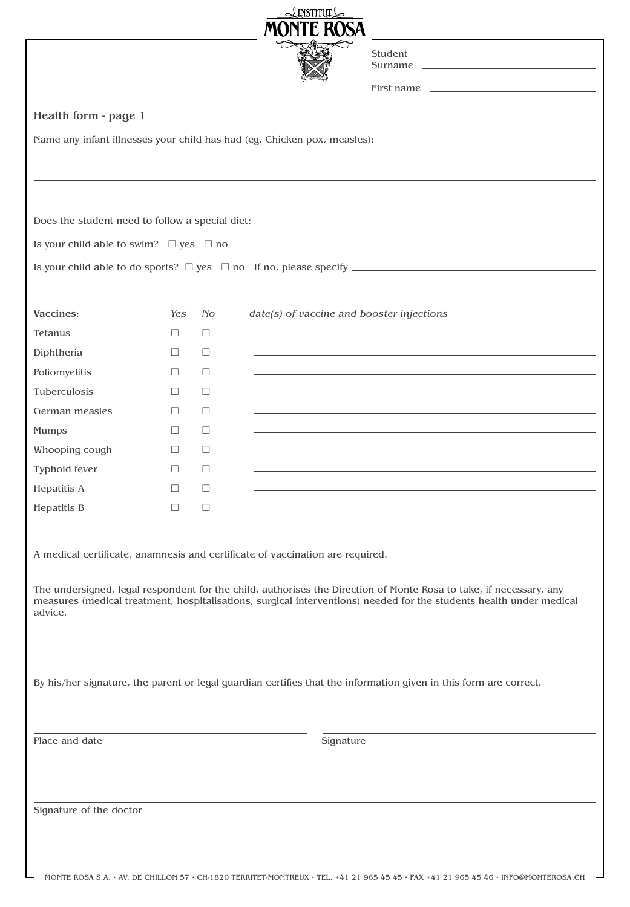|                                                                               |               |                | <u>INSTITUTLO</u> |           |                                                                                                                                                                                                                                           |
|-------------------------------------------------------------------------------|---------------|----------------|-------------------|-----------|-------------------------------------------------------------------------------------------------------------------------------------------------------------------------------------------------------------------------------------------|
|                                                                               |               |                | MONTE ROSA        |           |                                                                                                                                                                                                                                           |
|                                                                               |               |                |                   |           | Student                                                                                                                                                                                                                                   |
|                                                                               |               |                |                   |           | Surname _<br><u> 1989 - Johann Stoff, deutscher Stoff, der Stoff, der Stoff, der Stoff, der Stoff, der Stoff, der Stoff, der S</u>                                                                                                        |
|                                                                               |               |                |                   |           | First name                                                                                                                                                                                                                                |
| Health form - page 1                                                          |               |                |                   |           |                                                                                                                                                                                                                                           |
| Name any infant illnesses your child has had (eg. Chicken pox, measles):      |               |                |                   |           |                                                                                                                                                                                                                                           |
|                                                                               |               |                |                   |           |                                                                                                                                                                                                                                           |
|                                                                               |               |                |                   |           |                                                                                                                                                                                                                                           |
|                                                                               |               |                |                   |           |                                                                                                                                                                                                                                           |
|                                                                               |               |                |                   |           |                                                                                                                                                                                                                                           |
| Is your child able to swim? $\Box$ yes $\Box$ no                              |               |                |                   |           |                                                                                                                                                                                                                                           |
|                                                                               |               |                |                   |           |                                                                                                                                                                                                                                           |
|                                                                               |               |                |                   |           |                                                                                                                                                                                                                                           |
|                                                                               |               |                |                   |           |                                                                                                                                                                                                                                           |
| Vaccines:<br>Tetanus                                                          | Yes<br>$\Box$ | N <sub>O</sub> |                   |           | date(s) of vaccine and booster injections                                                                                                                                                                                                 |
|                                                                               | П.            | □<br>$\Box$    |                   |           |                                                                                                                                                                                                                                           |
| Diphtheria<br>Poliomyelitis                                                   | $\Box$        | □              |                   |           |                                                                                                                                                                                                                                           |
| Tuberculosis                                                                  | П             | □              |                   |           |                                                                                                                                                                                                                                           |
| German measles                                                                | $\Box$        | □              |                   |           |                                                                                                                                                                                                                                           |
| Mumps                                                                         | П             | □              |                   |           |                                                                                                                                                                                                                                           |
| Whooping cough                                                                | $\Box$        | □              |                   |           |                                                                                                                                                                                                                                           |
| Typhoid fever                                                                 | □             | □              |                   |           |                                                                                                                                                                                                                                           |
|                                                                               | $\Box$        | $\Box$         |                   |           |                                                                                                                                                                                                                                           |
| Hepatitis A<br><b>Hepatitis B</b>                                             | $\Box$        | $\Box$         |                   |           |                                                                                                                                                                                                                                           |
|                                                                               |               |                |                   |           |                                                                                                                                                                                                                                           |
|                                                                               |               |                |                   |           |                                                                                                                                                                                                                                           |
| A medical certificate, anamnesis and certificate of vaccination are required. |               |                |                   |           |                                                                                                                                                                                                                                           |
|                                                                               |               |                |                   |           |                                                                                                                                                                                                                                           |
|                                                                               |               |                |                   |           | The undersigned, legal respondent for the child, authorises the Direction of Monte Rosa to take, if necessary, any<br>measures (medical treatment, hospitalisations, surgical interventions) needed for the students health under medical |
| advice.                                                                       |               |                |                   |           |                                                                                                                                                                                                                                           |
|                                                                               |               |                |                   |           |                                                                                                                                                                                                                                           |
|                                                                               |               |                |                   |           |                                                                                                                                                                                                                                           |
|                                                                               |               |                |                   |           | By his/her signature, the parent or legal guardian certifies that the information given in this form are correct.                                                                                                                         |
|                                                                               |               |                |                   |           |                                                                                                                                                                                                                                           |
|                                                                               |               |                |                   |           |                                                                                                                                                                                                                                           |
| Place and date                                                                |               |                |                   | Signature |                                                                                                                                                                                                                                           |
|                                                                               |               |                |                   |           |                                                                                                                                                                                                                                           |
|                                                                               |               |                |                   |           |                                                                                                                                                                                                                                           |
|                                                                               |               |                |                   |           |                                                                                                                                                                                                                                           |
| Signature of the doctor                                                       |               |                |                   |           |                                                                                                                                                                                                                                           |
|                                                                               |               |                |                   |           |                                                                                                                                                                                                                                           |
|                                                                               |               |                |                   |           |                                                                                                                                                                                                                                           |
|                                                                               |               |                |                   |           |                                                                                                                                                                                                                                           |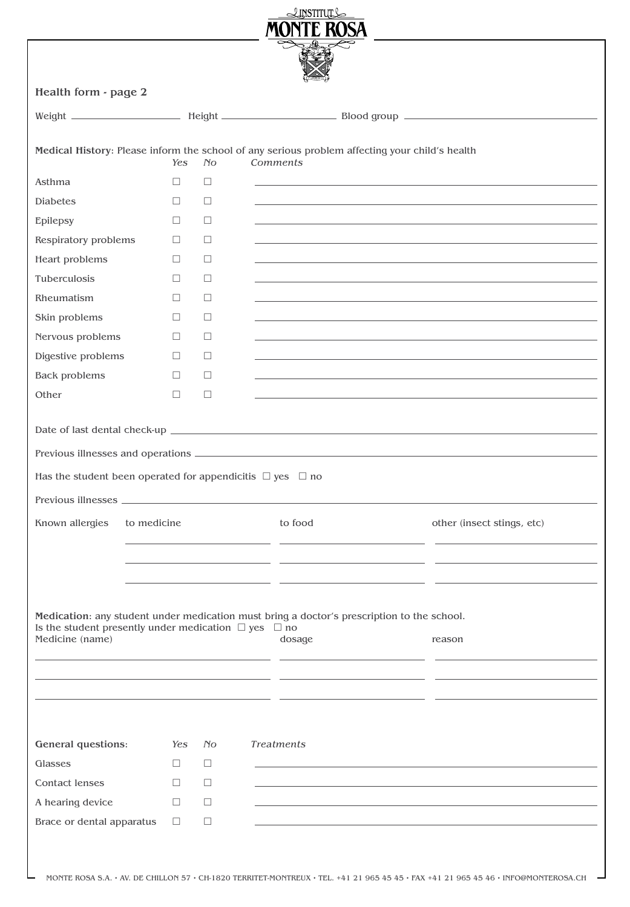|                                                                                   |             |                | $\triangle$ <b>LINSTITUT</b><br>MONTE ROSA |                                                                                                |                            |
|-----------------------------------------------------------------------------------|-------------|----------------|--------------------------------------------|------------------------------------------------------------------------------------------------|----------------------------|
|                                                                                   |             |                |                                            |                                                                                                |                            |
| Health form - page 2                                                              |             |                |                                            |                                                                                                |                            |
|                                                                                   |             |                |                                            |                                                                                                |                            |
|                                                                                   |             |                |                                            |                                                                                                |                            |
|                                                                                   | Yes         | N <sub>O</sub> | Comments                                   | Medical History: Please inform the school of any serious problem affecting your child's health |                            |
| Asthma                                                                            | $\Box$      | $\Box$         |                                            |                                                                                                |                            |
| <b>Diabetes</b>                                                                   | $\Box$      | $\Box$         |                                            |                                                                                                |                            |
| Epilepsy                                                                          | $\Box$      | □              |                                            |                                                                                                |                            |
| Respiratory problems                                                              | $\Box$      | $\Box$         |                                            |                                                                                                |                            |
| Heart problems                                                                    | $\Box$      | □              |                                            |                                                                                                |                            |
| Tuberculosis                                                                      | $\Box$      | $\Box$         |                                            |                                                                                                |                            |
| Rheumatism                                                                        | $\Box$      | □              |                                            |                                                                                                |                            |
| Skin problems                                                                     | $\Box$      | □              |                                            |                                                                                                |                            |
| Nervous problems                                                                  | $\Box$      | $\Box$         |                                            |                                                                                                |                            |
| Digestive problems                                                                | $\Box$      | $\Box$         |                                            |                                                                                                |                            |
| <b>Back problems</b>                                                              | $\Box$      | $\Box$         |                                            |                                                                                                |                            |
| Other                                                                             | $\Box$      | $\Box$         |                                            |                                                                                                |                            |
|                                                                                   |             |                |                                            |                                                                                                |                            |
|                                                                                   |             |                |                                            |                                                                                                |                            |
|                                                                                   |             |                |                                            |                                                                                                |                            |
| Has the student been operated for appendicitis $\Box$ yes $\Box$ no               |             |                |                                            |                                                                                                |                            |
|                                                                                   |             |                |                                            |                                                                                                |                            |
| Known allergies                                                                   | to medicine |                | to food                                    |                                                                                                | other (insect stings, etc) |
|                                                                                   |             |                |                                            |                                                                                                |                            |
|                                                                                   |             |                |                                            |                                                                                                |                            |
|                                                                                   |             |                |                                            |                                                                                                |                            |
|                                                                                   |             |                |                                            |                                                                                                |                            |
|                                                                                   |             |                |                                            | Medication: any student under medication must bring a doctor's prescription to the school.     |                            |
| Is the student presently under medication $\Box$ yes $\Box$ no<br>Medicine (name) |             |                | dosage                                     | reason                                                                                         |                            |
|                                                                                   |             |                |                                            |                                                                                                |                            |
|                                                                                   |             |                |                                            |                                                                                                |                            |
|                                                                                   |             |                |                                            |                                                                                                |                            |
|                                                                                   |             |                |                                            |                                                                                                |                            |
|                                                                                   |             |                |                                            |                                                                                                |                            |
| <b>General questions:</b>                                                         | Yes         | No.            | <b>Treatments</b>                          |                                                                                                |                            |
| Glasses                                                                           | $\Box$      | □              |                                            |                                                                                                |                            |
| <b>Contact lenses</b>                                                             | $\Box$      | □              |                                            |                                                                                                |                            |
| A hearing device                                                                  | $\Box$      | □              |                                            |                                                                                                |                            |
| Brace or dental apparatus                                                         | $\Box$      | □              |                                            |                                                                                                |                            |
|                                                                                   |             |                |                                            |                                                                                                |                            |